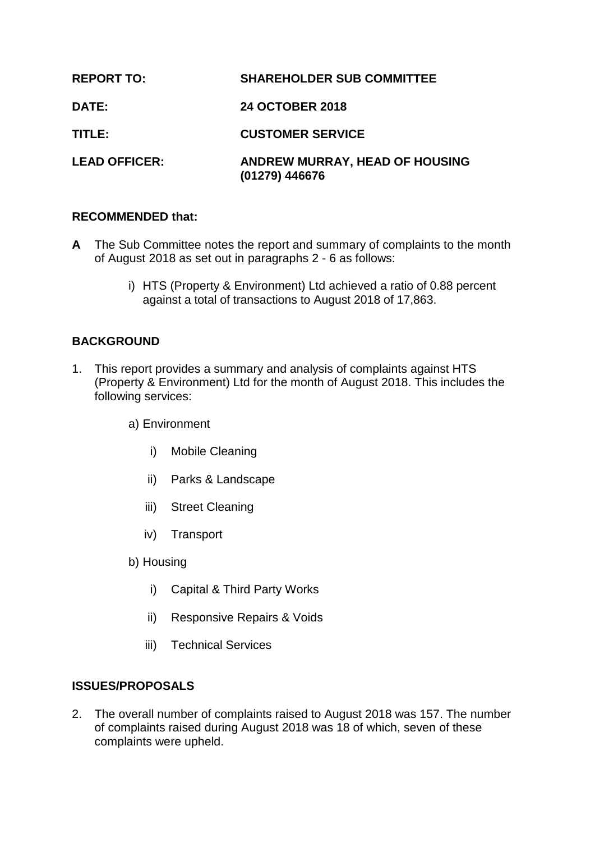| <b>REPORT TO:</b>    | <b>SHAREHOLDER SUB COMMITTEE</b>                        |
|----------------------|---------------------------------------------------------|
| <b>DATE:</b>         | <b>24 OCTOBER 2018</b>                                  |
| TITLE:               | <b>CUSTOMER SERVICE</b>                                 |
| <b>LEAD OFFICER:</b> | <b>ANDREW MURRAY, HEAD OF HOUSING</b><br>(01279) 446676 |

#### **RECOMMENDED that:**

- **A** The Sub Committee notes the report and summary of complaints to the month of August 2018 as set out in paragraphs 2 - 6 as follows:
	- i) HTS (Property & Environment) Ltd achieved a ratio of 0.88 percent against a total of transactions to August 2018 of 17,863.

### **BACKGROUND**

1. This report provides a summary and analysis of complaints against HTS (Property & Environment) Ltd for the month of August 2018. This includes the following services:

a) Environment

- i) Mobile Cleaning
- ii) Parks & Landscape
- iii) Street Cleaning
- iv) Transport
- b) Housing
	- i) Capital & Third Party Works
	- ii) Responsive Repairs & Voids
	- iii) Technical Services

### **ISSUES/PROPOSALS**

2. The overall number of complaints raised to August 2018 was 157. The number of complaints raised during August 2018 was 18 of which, seven of these complaints were upheld.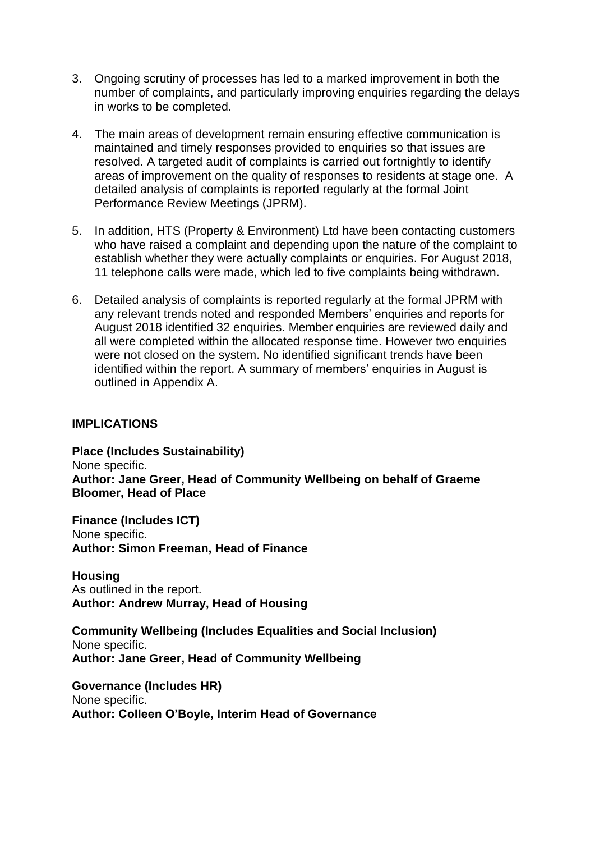- 3. Ongoing scrutiny of processes has led to a marked improvement in both the number of complaints, and particularly improving enquiries regarding the delays in works to be completed.
- 4. The main areas of development remain ensuring effective communication is maintained and timely responses provided to enquiries so that issues are resolved. A targeted audit of complaints is carried out fortnightly to identify areas of improvement on the quality of responses to residents at stage one. A detailed analysis of complaints is reported regularly at the formal Joint Performance Review Meetings (JPRM).
- 5. In addition, HTS (Property & Environment) Ltd have been contacting customers who have raised a complaint and depending upon the nature of the complaint to establish whether they were actually complaints or enquiries. For August 2018, 11 telephone calls were made, which led to five complaints being withdrawn.
- 6. Detailed analysis of complaints is reported regularly at the formal JPRM with any relevant trends noted and responded Members' enquiries and reports for August 2018 identified 32 enquiries. Member enquiries are reviewed daily and all were completed within the allocated response time. However two enquiries were not closed on the system. No identified significant trends have been identified within the report. A summary of members' enquiries in August is outlined in Appendix A.

#### **IMPLICATIONS**

**Place (Includes Sustainability)** None specific. **Author: Jane Greer, Head of Community Wellbeing on behalf of Graeme Bloomer, Head of Place**

**Finance (Includes ICT)** None specific. **Author: Simon Freeman, Head of Finance**

**Housing** As outlined in the report. **Author: Andrew Murray, Head of Housing**

**Community Wellbeing (Includes Equalities and Social Inclusion)** None specific. **Author: Jane Greer, Head of Community Wellbeing**

**Governance (Includes HR)** None specific. **Author: Colleen O'Boyle, Interim Head of Governance**